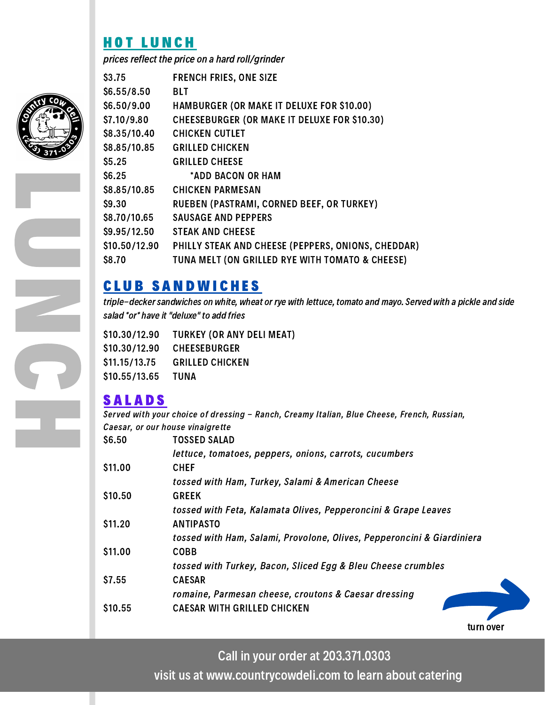## H O T L U N C H

prices reflect the price on a hard roll/grinder

| \$3.75        | <b>FRENCH FRIES, ONE SIZE</b>                       |
|---------------|-----------------------------------------------------|
| \$6.55/8.50   | <b>BLT</b>                                          |
| \$6.50/9.00   | <b>HAMBURGER (OR MAKE IT DELUXE FOR \$10.00)</b>    |
| \$7.10/9.80   | <b>CHEESEBURGER (OR MAKE IT DELUXE FOR \$10.30)</b> |
| \$8.35/10.40  | <b>CHICKEN CUTLET</b>                               |
| \$8.85/10.85  | <b>GRILLED CHICKEN</b>                              |
| \$5.25        | <b>GRILLED CHEESE</b>                               |
| \$6.25        | *ADD BACON OR HAM                                   |
| \$8.85/10.85  | <b>CHICKEN PARMESAN</b>                             |
| \$9.30        | RUEBEN (PASTRAMI, CORNED BEEF, OR TURKEY)           |
| \$8.70/10.65  | <b>SAUSAGE AND PEPPERS</b>                          |
| \$9.95/12.50  | <b>STEAK AND CHEESE</b>                             |
| \$10.50/12.90 | PHILLY STEAK AND CHEESE (PEPPERS, ONIONS, CHEDDAR)  |
| \$8.70        | TUNA MELT (ON GRILLED RYE WITH TOMATO & CHEESE)     |

### C L U B S A N D W I C H E S

triple-decker sandwiches on white, wheat or rye with lettuce, tomato and mayo. Served with a pickle and side salad \*or\* have it "deluxe" to add fries

\$10.30/12.90 \$10.30/12.90 \$11.15/13.75 \$10.55/13.65 TURKEY (OR ANY DELI MEAT) CHEESEBURGER GRILLED CHICKEN TUNA

# **SALADS**

Served with your choice of dressing - Ranch, Creamy Italian, Blue Cheese, French, Russian, Caesar, or our house vinaigrette

| \$6.50       | <b>TOSSED SALAD</b>                                                    |
|--------------|------------------------------------------------------------------------|
|              | lettuce, tomatoes, peppers, onions, carrots, cucumbers                 |
| \$11.00      | <b>CHEF</b>                                                            |
|              | tossed with Ham, Turkey, Salami & American Cheese                      |
| S10.50       | <b>GREEK</b>                                                           |
|              | tossed with Feta, Kalamata Olives, Pepperoncini & Grape Leaves         |
| S11.20       | <b>ANTIPASTO</b>                                                       |
|              | tossed with Ham, Salami, Provolone, Olives, Pepperoncini & Giardiniera |
| S11.00       | <b>COBB</b>                                                            |
|              | tossed with Turkey, Bacon, Sliced Egg & Bleu Cheese crumbles           |
| <b>S7.55</b> | <b>CAESAR</b>                                                          |
|              | romaine, Parmesan cheese, croutons & Caesar dressing                   |
| \$10.55      | <b>CAESAR WITH GRILLED CHICKEN</b>                                     |
|              |                                                                        |

Call in your order at 203.371.0303

visit us at www.countrycowdeli.com to learn about catering

turn over



L

 $\overline{\phantom{0}}$ 

N

C

H